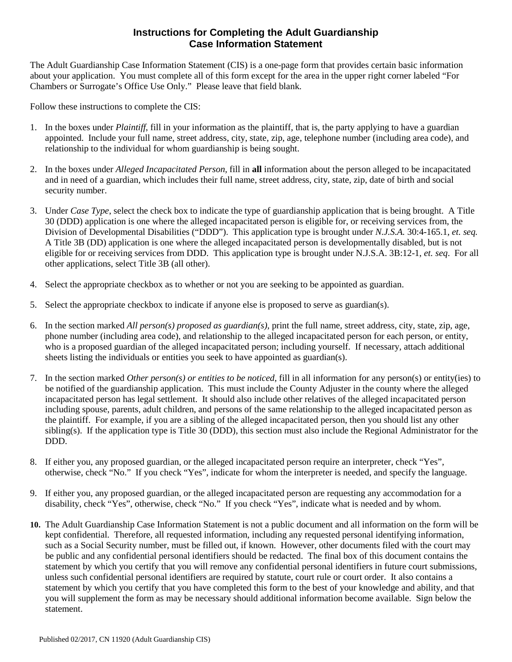## **Instructions for Completing the Adult Guardianship Case Information Statement**

The Adult Guardianship Case Information Statement (CIS) is a one-page form that provides certain basic information about your application. You must complete all of this form except for the area in the upper right corner labeled "For Chambers or Surrogate's Office Use Only." Please leave that field blank.

Follow these instructions to complete the CIS:

- 1. In the boxes under *Plaintiff*, fill in your information as the plaintiff, that is, the party applying to have a guardian appointed. Include your full name, street address, city, state, zip, age, telephone number (including area code), and relationship to the individual for whom guardianship is being sought.
- 2. In the boxes under *Alleged Incapacitated Person,* fill in **all** information about the person alleged to be incapacitated and in need of a guardian, which includes their full name, street address, city, state, zip, date of birth and social security number.
- 3. Under *Case Type*, select the check box to indicate the type of guardianship application that is being brought. A Title 30 (DDD) application is one where the alleged incapacitated person is eligible for, or receiving services from, the Division of Developmental Disabilities ("DDD"). This application type is brought under *N.J.S.A.* 30:4-165.1, *et. seq.* A Title 3B (DD) application is one where the alleged incapacitated person is developmentally disabled, but is not eligible for or receiving services from DDD. This application type is brought under N.J.S.A. 3B:12-1, *et. seq*. For all other applications, select Title 3B (all other).
- 4. Select the appropriate checkbox as to whether or not you are seeking to be appointed as guardian.
- 5. Select the appropriate checkbox to indicate if anyone else is proposed to serve as guardian(s).
- 6. In the section marked *All person(s) proposed as guardian(s)*, print the full name, street address, city, state, zip, age, phone number (including area code), and relationship to the alleged incapacitated person for each person, or entity, who is a proposed guardian of the alleged incapacitated person; including yourself. If necessary, attach additional sheets listing the individuals or entities you seek to have appointed as guardian(s).
- 7. In the section marked *Other person(s) or entities to be noticed*, fill in all information for any person(s) or entity(ies) to be notified of the guardianship application. This must include the County Adjuster in the county where the alleged incapacitated person has legal settlement. It should also include other relatives of the alleged incapacitated person including spouse, parents, adult children, and persons of the same relationship to the alleged incapacitated person as the plaintiff. For example, if you are a sibling of the alleged incapacitated person, then you should list any other sibling(s). If the application type is Title 30 (DDD), this section must also include the Regional Administrator for the DDD.
- 8. If either you, any proposed guardian, or the alleged incapacitated person require an interpreter, check "Yes", otherwise, check "No." If you check "Yes", indicate for whom the interpreter is needed, and specify the language.
- 9. If either you, any proposed guardian, or the alleged incapacitated person are requesting any accommodation for a disability, check "Yes", otherwise, check "No." If you check "Yes", indicate what is needed and by whom.
- **10.** The Adult Guardianship Case Information Statement is not a public document and all information on the form will be kept confidential. Therefore, all requested information, including any requested personal identifying information, such as a Social Security number, must be filled out, if known. However, other documents filed with the court may be public and any confidential personal identifiers should be redacted. The final box of this document contains the statement by which you certify that you will remove any confidential personal identifiers in future court submissions, unless such confidential personal identifiers are required by statute, court rule or court order. It also contains a statement by which you certify that you have completed this form to the best of your knowledge and ability, and that you will supplement the form as may be necessary should additional information become available. Sign below the statement.